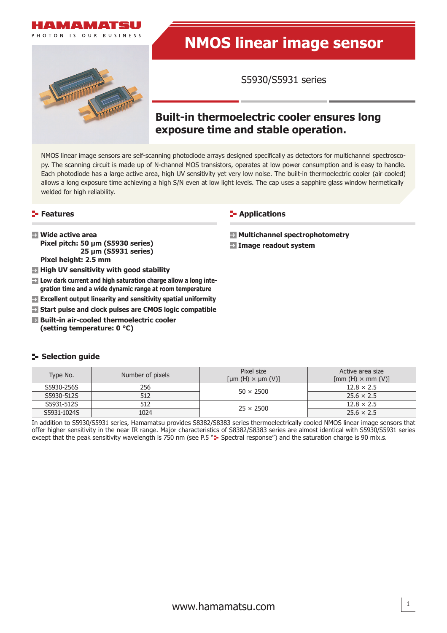



# **NMOS linear image sensor**

S5930/S5931 series

# **Built-in thermoelectric cooler ensures long exposure time and stable operation.**

NMOS linear image sensors are self-scanning photodiode arrays designed specifically as detectors for multichannel spectroscopy. The scanning circuit is made up of N-channel MOS transistors, operates at low power consumption and is easy to handle. Each photodiode has a large active area, high UV sensitivity yet very low noise. The built-in thermoelectric cooler (air cooled) allows a long exposure time achieving a high S/N even at low light levels. The cap uses a sapphire glass window hermetically welded for high reliability.

#### **Features**

- **Wide active area Pixel pitch: 50 μm (S5930 series) 25 μm (S5931 series) Pixel height: 2.5 mm**
- $\blacksquare$  **High UV sensitivity with good stability**
- **EX** Low dark current and high saturation charge allow a long inte**gration time and a wide dynamic range at room temperature**
- **Excellent output linearity and sensitivity spatial uniformity**
- **Start pulse and clock pulses are CMOS logic compatible**
- **Built-in air-cooled thermoelectric cooler (setting temperature: 0 °C)**

### **Selection guide**

#### Type No. Number of pixels Pixel size  $[µm(H) \times µm(V)]$ Active area size  $[mm(H) \times mm(V)]$  $\begin{array}{|c|c|c|c|c|}\hline \text{S5930-2565} & \text{256} & \text{358} & \text{42.5} \ \hline \text{S5930-2565} & \text{50} & \text{50} \times \text{2500} & \text{50} & \text{50} & \text{50} & \text{50} & \text{50} & \text{50} & \text{50} & \text{50} & \text{50} & \text{50} & \text{50} & \text{50} & \text{50} & \text{50} & \text{50} & \text{50} & \text{50} &$  $SS930-512$  25.6  $\times 2.5$  $\begin{array}{|c|c|c|c|c|}\n \hline\n \text{S5931-512S} & \text{512} & \text{25} \times \text{2500} & \text{12.8} \times \text{2.5} \\
\hline\n \text{S5931-512S} & \text{12.8} \times \text{2.5} & \text{2.5} \times \text{2.5} & \text{2.5} \times \text{2.5} & \text{2.5} \times \text{2.5} & \text{2.5} \times \text{2.5} & \text{2.5} \times \text{2.5} & \text{2.5} \times \text{2.5} & \$  $\frac{33931-3123}{25 \times 2500}$  1024 25 × 2500 25.6 × 2.5

In addition to S5930/S5931 series, Hamamatsu provides S8382/S8383 series thermoelectrically cooled NMOS linear image sensors that offer higher sensitivity in the near IR range. Major characteristics of S8382/S8383 series are almost identical with S5930/S5931 series except that the peak sensitivity wavelength is 750 nm (see P.5 "= Spectral response") and the saturation charge is 90 mlx.s.

#### **E-** Applications

 **Multichannel spectrophotometry**

 **Image readout system**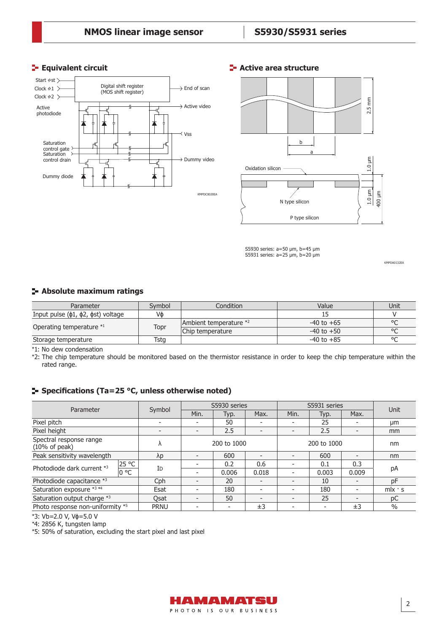

#### **E**- Active area structure



S5930 series: a=50 μm, b=45 μm S5931 series: a=25 μm, b=20 μm

KMPDA0132EA

#### **Absolute maximum ratings**

| Parameter                                    | Symbol                                             | Condition      | Value          | Unit    |
|----------------------------------------------|----------------------------------------------------|----------------|----------------|---------|
| Input pulse $(\phi1, \phi2, \phist)$ voltage | Vф                                                 |                |                |         |
|                                              | Ambient temperature *2<br>Topr<br>Chip temperature |                | $-40$ to $+65$ | $\circ$ |
| Operating temperature *1                     |                                                    | $-40$ to $+50$ | $\circ$        |         |
| Storage temperature                          | Tsta                                               |                | $-40$ to $+85$ | $\circ$ |

 $\overline{11}$ : No dew condensation

\*2: The chip temperature should be monitored based on the thermistor resistance in order to keep the chip temperature within the rated range.

#### **F** Specifications (Ta=25 °C, unless otherwise noted)

| Parameter                                           |       |                          | S5930 series             |                          |                          | S5931 series |             |                          | Unit          |
|-----------------------------------------------------|-------|--------------------------|--------------------------|--------------------------|--------------------------|--------------|-------------|--------------------------|---------------|
|                                                     |       | Symbol                   | Min.                     | Typ.                     | Max.                     | Min.         | Typ.        | Max.                     |               |
| Pixel pitch                                         |       |                          |                          | 50                       | $\overline{\phantom{a}}$ |              | 25          | -                        | μm            |
| Pixel height                                        |       | $\overline{\phantom{0}}$ | $\qquad \qquad$          | 2.5                      | $\overline{\phantom{0}}$ |              | 2.5         | $\overline{\phantom{0}}$ | mm            |
| Spectral response range<br>$(10\% \text{ of peak})$ |       | ٨                        |                          | 200 to 1000              |                          |              | 200 to 1000 |                          | nm            |
| Peak sensitivity wavelength                         |       | $\lambda p$              |                          | 600                      | $\overline{\phantom{0}}$ |              | 600         |                          | nm            |
| Photodiode dark current *3                          | 25 °C | ID                       |                          | 0.2                      | 0.6                      |              | 0.1         | 0.3                      |               |
|                                                     | 0 °C  |                          |                          | 0.006                    | 0.018                    |              | 0.003       | 0.009                    | рA            |
| Photodiode capacitance *3                           |       | Cph                      |                          | 20                       | $\overline{\phantom{0}}$ |              | 10          | $\overline{\phantom{0}}$ | pF            |
| Saturation exposure *3 *4                           |       | Esat                     |                          | 180                      | $\overline{\phantom{0}}$ |              | 180         | $\overline{\phantom{0}}$ | $m/x$ · s     |
| Saturation output charge *3                         |       | Osat                     | $\overline{\phantom{0}}$ | 50                       | $\overline{\phantom{0}}$ |              | 25          | $\overline{\phantom{0}}$ | pC            |
| Photo response non-uniformity *5                    |       | <b>PRNU</b>              |                          | $\overline{\phantom{a}}$ | ±3                       |              |             | ±3                       | $\frac{0}{0}$ |

\*3: Vb=2.0 V, Vɸ=5.0 V

\*4: 2856 K, tungsten lamp

\*5: 50% of saturation, excluding the start pixel and last pixel

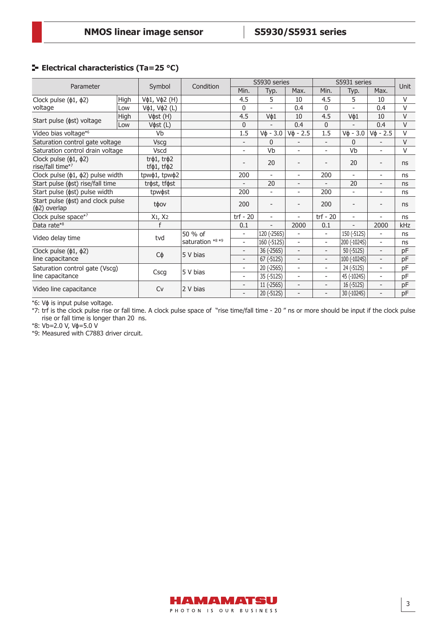## **ELECTRICAL CHARACTERISTICS (Ta=25 °C)**

|                                                                |      |                                      |                  |                          | S5930 series             |                          | S5931 series             |                                                                                                                                                                                                                                                                                                     |                          | Unit       |
|----------------------------------------------------------------|------|--------------------------------------|------------------|--------------------------|--------------------------|--------------------------|--------------------------|-----------------------------------------------------------------------------------------------------------------------------------------------------------------------------------------------------------------------------------------------------------------------------------------------------|--------------------------|------------|
| Parameter                                                      |      | Symbol                               | Condition        | Min.                     | Typ.                     | Max.                     | Min.                     | Typ.                                                                                                                                                                                                                                                                                                | Max.                     |            |
| Clock pulse $(\phi1, \phi2)$                                   | High | Vф1, Vф2 (H)                         |                  | 4.5                      | 5                        | 10                       | 4.5                      | 5                                                                                                                                                                                                                                                                                                   | 10                       | V          |
| voltage                                                        | Low  | Vφ1, Vφ2 (L)                         |                  | $\mathbf{0}$             | ÷                        | 0.4                      | $\Omega$                 | $\overline{\phantom{a}}$                                                                                                                                                                                                                                                                            | 0.4                      | $\vee$     |
|                                                                | High | V $\phi$ st (H)                      |                  | 4.5                      | Vф1                      | 10                       | 4.5                      | Vф1                                                                                                                                                                                                                                                                                                 | 10                       | $\vee$     |
| Start pulse ( $\phi$ st) voltage                               | Low  | Vфst (L)                             |                  | $\mathbf{0}$             |                          | 0.4                      | $\mathbf{0}$             | $V\phi - 3.0$<br>$\mathbf{0}$<br>Vb<br>20<br>$\overline{\phantom{a}}$<br>20<br>$\overline{\phantom{a}}$<br>$\overline{\phantom{a}}$<br>$\overline{\phantom{a}}$<br>$\overline{\phantom{a}}$<br>150 (-512S)<br>200 (-1024S)<br>50 (-512S)<br>100 (-1024S)<br>24 (-512S)<br>45 (-1024S)<br>16 (-512S) | 0.4                      | $\vee$     |
| Video bias voltage*6                                           |      | Vb                                   |                  | 1.5                      | $V\phi - 3.0$            | $V\phi - 2.5$            | 1.5                      |                                                                                                                                                                                                                                                                                                     | $V$ $\phi$ - 2.5         | $\vee$     |
| Saturation control gate voltage                                |      | <b>Vscg</b>                          |                  | $\overline{\phantom{0}}$ | $\mathbf{0}$             |                          | $\overline{\phantom{a}}$ |                                                                                                                                                                                                                                                                                                     |                          | $\vee$     |
| Saturation control drain voltage                               |      | Vscd                                 |                  | $\overline{\phantom{0}}$ | Vb                       |                          | $\overline{\phantom{a}}$ |                                                                                                                                                                                                                                                                                                     | $\overline{\phantom{0}}$ | $\vee$     |
| Clock pulse $(\phi1, \phi2)$<br>rise/fall time*7               |      | $tr\phi$ 1, $tr\phi$ 2<br>tfф1, tfф2 |                  |                          | 20                       |                          |                          |                                                                                                                                                                                                                                                                                                     |                          | ns         |
| Clock pulse $(\phi1, \phi2)$ pulse width                       |      | tpwφ1, tpwφ2                         |                  | 200                      | $\overline{\phantom{0}}$ | $\overline{\phantom{a}}$ | 200                      |                                                                                                                                                                                                                                                                                                     | $\overline{\phantom{a}}$ | ns         |
| Start pulse ( $\phi$ st) rise/fall time                        |      | trøst, tføst                         |                  | $\overline{\phantom{0}}$ | 20                       | $\overline{\phantom{a}}$ | $\overline{\phantom{0}}$ |                                                                                                                                                                                                                                                                                                     | $\overline{\phantom{a}}$ | ns         |
| Start pulse ( $\phi$ st) pulse width                           |      | tpw $\phi$ st                        |                  | 200                      | ۰                        | Ξ.                       | 200                      |                                                                                                                                                                                                                                                                                                     | $\overline{\phantom{a}}$ | ns         |
| Start pulse ( $\phi$ st) and clock pulse<br>$(\phi 2)$ overlap |      | tφov                                 |                  | 200                      | $\overline{\phantom{0}}$ |                          | 200                      |                                                                                                                                                                                                                                                                                                     | -                        | ns         |
| Clock pulse space*7                                            |      | $X_1, X_2$                           |                  | trf - $20$               | $\overline{\phantom{a}}$ | $\overline{\phantom{a}}$ | $trf - 20$               |                                                                                                                                                                                                                                                                                                     | $\overline{\phantom{0}}$ | ns         |
| Data rate*8                                                    |      |                                      |                  | 0.1                      | $\overline{\phantom{0}}$ | 2000                     | 0.1                      |                                                                                                                                                                                                                                                                                                     | 2000                     | <b>kHz</b> |
| Video delay time                                               |      |                                      | 50 % of          | $\overline{\phantom{a}}$ | 120 (-256S)              | $\overline{\phantom{a}}$ | $\overline{\phantom{a}}$ |                                                                                                                                                                                                                                                                                                     | $\overline{\phantom{a}}$ | ns         |
|                                                                |      | tvd                                  | saturation *8 *9 | $\overline{\phantom{0}}$ | 160 (-512S)              | $\overline{\phantom{a}}$ | $\overline{\phantom{a}}$ |                                                                                                                                                                                                                                                                                                     | $\overline{\phantom{a}}$ | ns         |
| Clock pulse ( $\phi$ 1, $\phi$ 2)                              |      |                                      |                  | $\overline{\phantom{0}}$ | 36 (-256S)               | $\overline{\phantom{a}}$ | $\overline{\phantom{a}}$ |                                                                                                                                                                                                                                                                                                     | $\overline{\phantom{a}}$ | pF         |
| line capacitance                                               |      | Сф                                   | 5 V bias         | $\overline{\phantom{0}}$ | 67 (-512S)               | $\overline{\phantom{a}}$ | $\overline{\phantom{a}}$ |                                                                                                                                                                                                                                                                                                     | $\overline{\phantom{a}}$ | pF         |
| Saturation control gate (Vscg)                                 |      |                                      |                  | $\overline{\phantom{0}}$ | 20 (-256S)               | ÷.                       | $\overline{\phantom{a}}$ |                                                                                                                                                                                                                                                                                                     | ۰                        | pF         |
| line capacitance                                               |      | Cscg                                 | 5 V bias         | $\overline{\phantom{0}}$ | 35 (-512S)               | $\overline{\phantom{a}}$ | $\overline{\phantom{a}}$ |                                                                                                                                                                                                                                                                                                     | $\overline{\phantom{0}}$ | pF         |
|                                                                |      |                                      | 2 V bias         | $\overline{\phantom{0}}$ | 11 (-256S)               | $\overline{\phantom{a}}$ | $\overline{\phantom{a}}$ |                                                                                                                                                                                                                                                                                                     | $\overline{\phantom{a}}$ | pF         |
| Video line capacitance                                         |      | Cv                                   |                  | $\overline{\phantom{0}}$ | 20 (-512S)               | $\overline{\phantom{0}}$ | $\overline{\phantom{a}}$ | 30 (-1024S)                                                                                                                                                                                                                                                                                         | $\overline{a}$           | pF         |

\*6: Vɸ is input pulse voltage.

\*7: trf is the clock pulse rise or fall time. A clock pulse space of "rise time/fall time - 20 " ns or more should be input if the clock pulse rise or fall time is longer than 20 ns.

\*8: Vb=2.0 V, Vɸ=5.0 V

\*9: Measured with C7883 driver circuit.

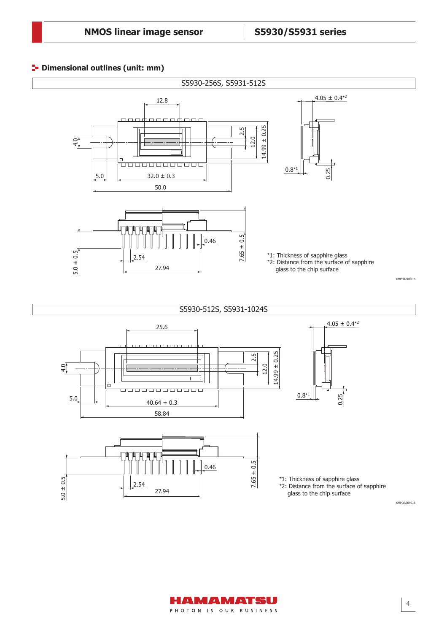# **Dimensional outlines (unit: mm)**



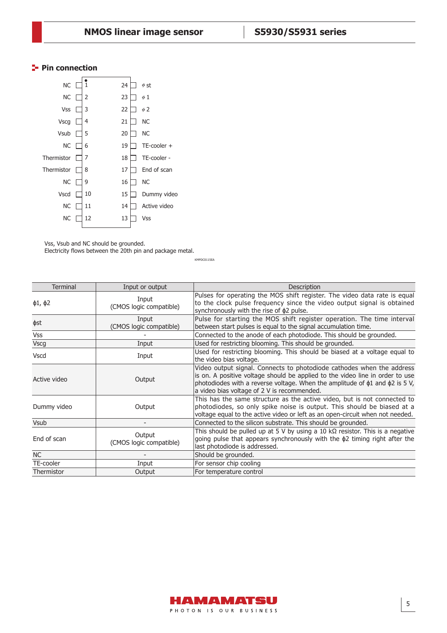# **Pin connection**

| NC .        | $\mathbf{1}$ | 24 | $\phi$ st        |
|-------------|--------------|----|------------------|
| NC          | 2            | 23 | $\phi$ 1         |
| <b>Vss</b>  | 3            | 22 | $\phi$ 2         |
| <b>Vscg</b> | 4            | 21 | <b>NC</b>        |
| Vsub        | 5            | 20 | <b>NC</b>        |
| NС          | 6            | 19 | $TE$ -cooler $+$ |
| Thermistor  | 7            | 18 | TE-cooler -      |
| Thermistor  | 8            | 17 | End of scan      |
| <b>NC</b>   | 9            | 16 | <b>NC</b>        |
| Vscd        | 10           | 15 | Dummy video      |
| NС          | 11           | 14 | Active video     |
| ΝC          | 12           | 13 | <b>Vss</b>       |
|             |              |    |                  |

Vss, Vsub and NC should be grounded.

Electricity flows between the 20th pin and package metal.

KMPDC0115EA

| <b>Terminal</b>    | Input or output                   | Description                                                                                                                                                                                                                                                                                      |
|--------------------|-----------------------------------|--------------------------------------------------------------------------------------------------------------------------------------------------------------------------------------------------------------------------------------------------------------------------------------------------|
| $\phi$ 1, $\phi$ 2 | Input<br>(CMOS logic compatible)  | Pulses for operating the MOS shift register. The video data rate is equal<br>to the clock pulse frequency since the video output signal is obtained<br>synchronously with the rise of \$2 pulse.                                                                                                 |
| фst                | Input<br>(CMOS logic compatible)  | Pulse for starting the MOS shift register operation. The time interval<br>between start pulses is equal to the signal accumulation time.                                                                                                                                                         |
| <b>Vss</b>         |                                   | Connected to the anode of each photodiode. This should be grounded.                                                                                                                                                                                                                              |
| <b>Vscg</b>        | Input                             | Used for restricting blooming. This should be grounded.                                                                                                                                                                                                                                          |
| <b>Vscd</b>        | Input                             | Used for restricting blooming. This should be biased at a voltage equal to<br>the video bias voltage.                                                                                                                                                                                            |
| Active video       | Output                            | Video output signal. Connects to photodiode cathodes when the address<br>is on. A positive voltage should be applied to the video line in order to use<br>photodiodes with a reverse voltage. When the amplitude of $\phi$ 1 and $\phi$ 2 is 5 V,<br>a video bias voltage of 2 V is recommended. |
| Dummy video        | Output                            | This has the same structure as the active video, but is not connected to<br>photodiodes, so only spike noise is output. This should be biased at a<br>voltage equal to the active video or left as an open-circuit when not needed.                                                              |
| <b>Vsub</b>        |                                   | Connected to the silicon substrate. This should be grounded.                                                                                                                                                                                                                                     |
| End of scan        | Output<br>(CMOS logic compatible) | This should be pulled up at 5 V by using a 10 k $\Omega$ resistor. This is a negative<br>going pulse that appears synchronously with the $\phi$ 2 timing right after the<br>last photodiode is addressed.                                                                                        |
| <b>NC</b>          |                                   | Should be grounded.                                                                                                                                                                                                                                                                              |
| TE-cooler          | Input                             | For sensor chip cooling                                                                                                                                                                                                                                                                          |
| Thermistor         | Output                            | For temperature control                                                                                                                                                                                                                                                                          |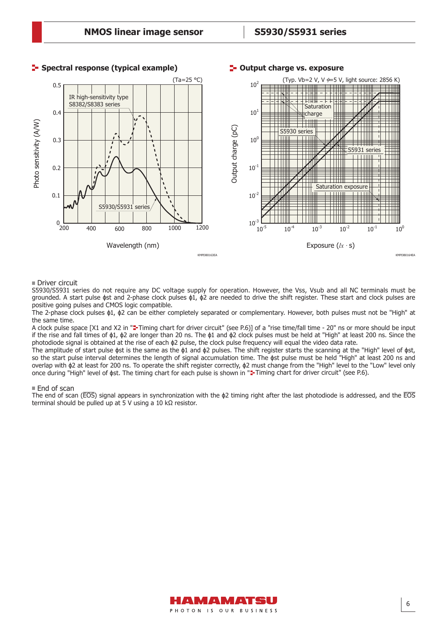

#### **F** Spectral response (typical example) **T** Output charge vs. exposure

#### Driver circuit

S5930/S5931 series do not require any DC voltage supply for operation. However, the Vss, Vsub and all NC terminals must be grounded. A start pulse  $\phi$ st and 2-phase clock pulses  $\phi$ 1,  $\phi$ 2 are needed to drive the shift register. These start and clock pulses are positive going pulses and CMOS logic compatible.

The 2-phase clock pulses ɸ1, ɸ2 can be either completely separated or complementary. However, both pulses must not be "High" at the same time.

A clock pulse space [X1 and X2 in "=-Timing chart for driver circuit" (see P.6)] of a "rise time/fall time - 20" ns or more should be input if the rise and fall times of ɸ1, ɸ2 are longer than 20 ns. The ɸ1 and ɸ2 clock pulses must be held at "High" at least 200 ns. Since the photodiode signal is obtained at the rise of each ɸ2 pulse, the clock pulse frequency will equal the video data rate.

The amplitude of start pulse  $\phi$ st is the same as the  $\phi$ 1 and  $\phi$ 2 pulses. The shift register starts the scanning at the "High" level of  $\phi$ st, so the start pulse interval determines the length of signal accumulation time. The  $\phi$ st pulse must be held "High" at least 200 ns and overlap with ɸ2 at least for 200 ns. To operate the shift register correctly, ɸ2 must change from the "High" level to the "Low" level only once during "High" level of  $\phi$ st. The timing chart for each pulse is shown in "**=-**Timing chart for driver circuit" (see P.6).

#### ■ End of scan

The end of scan ( $EOS$ ) signal appears in synchronization with the  $\phi$ 2 timing right after the last photodiode is addressed, and the  $EOS$ terminal should be pulled up at 5 V using a 10 kΩ resistor.

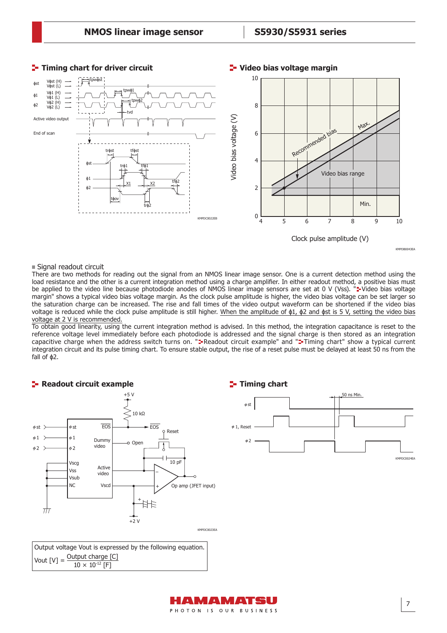

■ Signal readout circuit

54

There are two methods for reading out the signal from an NMOS linear image sensor. One is a current detection method using the load resistance and the other is a current integration method using a charge amplifier. In either readout method, a positive bias must be applied to the video line because photodiode anodes of NMOS linear image sensors are set at 0 V (Vss).  $\ddot{=}$  Video bias voltage margin" shows a typical video bias voltage margin. As the clock pulse amplitude is higher, the video bias voltage can be set larger so the saturation charge can be increased. The rise and fall times of the video output waveform can be shortened if the video bias voltage is reduced while the clock pulse amplitude is still higher. When the amplitude of  $\phi$ 1,  $\phi$ 2 and  $\phi$ st is 5 V, setting the video bias voltage at 2 V is recommended.

To obtain good linearity, using the current integration method is advised. In this method, the integration capacitance is reset to the reference voltage level immediately before each photodiode is addressed and the signal charge is then stored as an integration capacitive charge when the address switch turns on. "=Readout circuit example" and "=Timing chart" show a typical current integration circuit and its pulse timing chart. To ensure stable output, the rise of a reset pulse must be delayed at least 50 ns from the fall of ɸ2.



Output voltage Vout is expressed by the following equation. Vout  $[V] =$  Output charge  $[C]$  $10 \times 10^{-12}$  [F]



#### **Video bias voltage margin**

AMAMATSU

KMPDB0043EA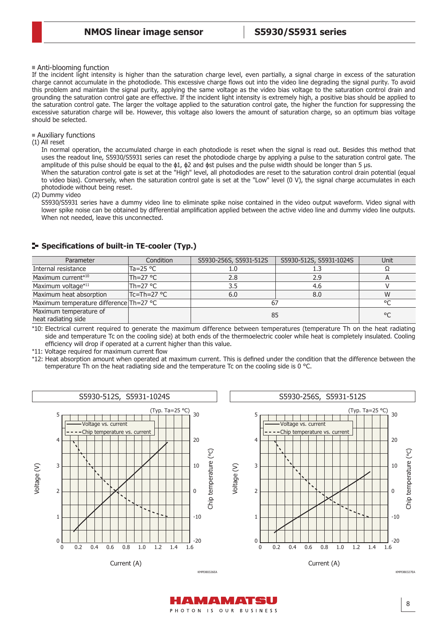Anti-blooming function

If the incident light intensity is higher than the saturation charge level, even partially, a signal charge in excess of the saturation charge cannot accumulate in the photodiode. This excessive charge flows out into the video line degrading the signal purity. To avoid this problem and maintain the signal purity, applying the same voltage as the video bias voltage to the saturation control drain and grounding the saturation control gate are effective. If the incident light intensity is extremely high, a positive bias should be applied to the saturation control gate. The larger the voltage applied to the saturation control gate, the higher the function for suppressing the excessive saturation charge will be. However, this voltage also lowers the amount of saturation charge, so an optimum bias voltage should be selected.

#### Auxiliary functions

(1) All reset

In normal operation, the accumulated charge in each photodiode is reset when the signal is read out. Besides this method that uses the readout line, S5930/S5931 series can reset the photodiode charge by applying a pulse to the saturation control gate. The amplitude of this pulse should be equal to the ɸ1, ɸ2 and ɸst pulses and the pulse width should be longer than 5 μs.

When the saturation control gate is set at the "High" level, all photodiodes are reset to the saturation control drain potential (equal to video bias). Conversely, when the saturation control gate is set at the "Low" level (0 V), the signal charge accumulates in each photodiode without being reset.

(2) Dummy video

S5930/S5931 series have a dummy video line to eliminate spike noise contained in the video output waveform. Video signal with lower spike noise can be obtained by differential amplification applied between the active video line and dummy video line outputs. When not needed, leave this unconnected.

| Parameter                                     | Condition         | S5930-256S, S5931-512S | S5930-512S, S5931-1024S | Unit    |
|-----------------------------------------------|-------------------|------------------------|-------------------------|---------|
| Internal resistance                           | Ta=25 $\degree$ C |                        |                         |         |
| Maximum current*10                            | lTh=27 °C         | 2.8                    | 2.9                     |         |
| Maximum voltage*11                            | Th=27 $\degree$ C | 3.5                    | 4.6                     |         |
| Maximum heat absorption                       | Tc=Th=27 °C       | 6.0                    | 8.0                     | W       |
| Maximum temperature difference Th=27 °C       |                   |                        |                         | $\circ$ |
| Maximum temperature of<br>heat radiating side |                   | 85                     | °C                      |         |

#### **F-** Specifications of built-in TE-cooler (Typ.)

\*10: Electrical current required to generate the maximum difference between temperatures (temperature Th on the heat radiating side and temperature Tc on the cooling side) at both ends of the thermoelectric cooler while heat is completely insulated. Cooling efficiency will drop if operated at a current higher than this value.

\*11: Voltage required for maximum current flow

\*12: Heat absorption amount when operated at maximum current. This is defined under the condition that the difference between the temperature Th on the heat radiating side and the temperature Tc on the cooling side is 0 °C.



A MA AMATSU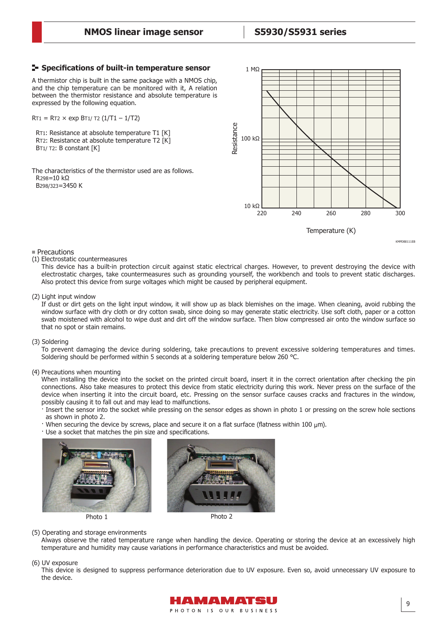#### **Specifi cations of built-in temperature sensor**

A thermistor chip is built in the same package with a NMOS chip, and the chip temperature can be monitored with it, A relation between the thermistor resistance and absolute temperature is expressed by the following equation.

 $RT1 = RT2 \times exp BT1/T2 (1/T1 - 1/T2)$ 

 RT1: Resistance at absolute temperature T1 [K] RT2: Resistance at absolute temperature T2 [K] BT<sub>1</sub>/T<sub>2</sub>: B constant [K]

The characteristics of the thermistor used are as follows. R298=10 kΩ B298/323=3450 K



KMPDB0111EB

#### **Precautions**

(1) Electrostatic countermeasures

This device has a built-in protection circuit against static electrical charges. However, to prevent destroying the device with electrostatic charges, take countermeasures such as grounding yourself, the workbench and tools to prevent static discharges. Also protect this device from surge voltages which might be caused by peripheral equipment.

(2) Light input window

If dust or dirt gets on the light input window, it will show up as black blemishes on the image. When cleaning, avoid rubbing the window surface with dry cloth or dry cotton swab, since doing so may generate static electricity. Use soft cloth, paper or a cotton swab moistened with alcohol to wipe dust and dirt off the window surface. Then blow compressed air onto the window surface so that no spot or stain remains.

#### (3) Soldering

To prevent damaging the device during soldering, take precautions to prevent excessive soldering temperatures and times. Soldering should be performed within 5 seconds at a soldering temperature below 260 °C.

#### (4) Precautions when mounting

When installing the device into the socket on the printed circuit board, insert it in the correct orientation after checking the pin connections. Also take measures to protect this device from static electricity during this work. Never press on the surface of the device when inserting it into the circuit board, etc. Pressing on the sensor surface causes cracks and fractures in the window, possibly causing it to fall out and may lead to malfunctions.

- Insert the sensor into the socket while pressing on the sensor edges as shown in photo 1 or pressing on the screw hole sections as shown in photo 2.
- $\cdot$  When securing the device by screws, place and secure it on a flat surface (flatness within 100  $\mu$ m).
- · Use a socket that matches the pin size and specifications.



#### (5) Operating and storage environments

Always observe the rated temperature range when handling the device. Operating or storing the device at an excessively high temperature and humidity may cause variations in performance characteristics and must be avoided.

#### (6) UV exposure

This device is designed to suppress performance deterioration due to UV exposure. Even so, avoid unnecessary UV exposure to the device.

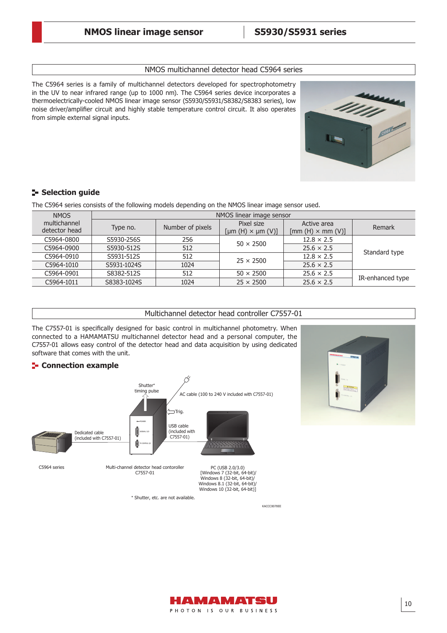#### NMOS multichannel detector head C5964 series

The C5964 series is a family of multichannel detectors developed for spectrophotometry in the UV to near infrared range (up to 1000 nm). The C5964 series device incorporates a thermoelectrically-cooled NMOS linear image sensor (S5930/S5931/S8382/S8383 series), low noise driver/amplifier circuit and highly stable temperature control circuit. It also operates from simple external signal inputs.



# **Selection guide**

The C5964 series consists of the following models depending on the NMOS linear image sensor used.

| <b>NMOS</b>                   | NMOS linear image sensor |                  |                                              |                                                                 |                  |  |  |
|-------------------------------|--------------------------|------------------|----------------------------------------------|-----------------------------------------------------------------|------------------|--|--|
| multichannel<br>detector head | Type no.                 | Number of pixels | Pixel size<br>$[ \mu m(H) \times \mu m(V) ]$ | Active area<br>$\lceil \text{mm}(H) \times \text{mm}(V) \rceil$ | Remark           |  |  |
| C5964-0800                    | S5930-256S               | 256              | $50 \times 2500$                             | $12.8 \times 2.5$                                               |                  |  |  |
| C5964-0900                    | S5930-512S               | 512              |                                              | $25.6 \times 2.5$                                               | Standard type    |  |  |
| C5964-0910                    | S5931-512S               | 512              | $25 \times 2500$                             | $12.8 \times 2.5$                                               |                  |  |  |
| C5964-1010                    | S5931-1024S              | 1024             |                                              | $25.6 \times 2.5$                                               |                  |  |  |
| C5964-0901                    | S8382-512S               | 512              | $50 \times 2500$                             | $25.6 \times 2.5$                                               | IR-enhanced type |  |  |
| C5964-1011                    | S8383-1024S              | 1024             | $25 \times 2500$                             | $25.6 \times 2.5$                                               |                  |  |  |

#### Multichannel detector head controller C7557-01

The C7557-01 is specifically designed for basic control in multichannel photometry. When connected to a HAMAMATSU multichannel detector head and a personal computer, the C7557-01 allows easy control of the detector head and data acquisition by using dedicated software that comes with the unit.

#### **E-** Connection example





KACCC0070EE